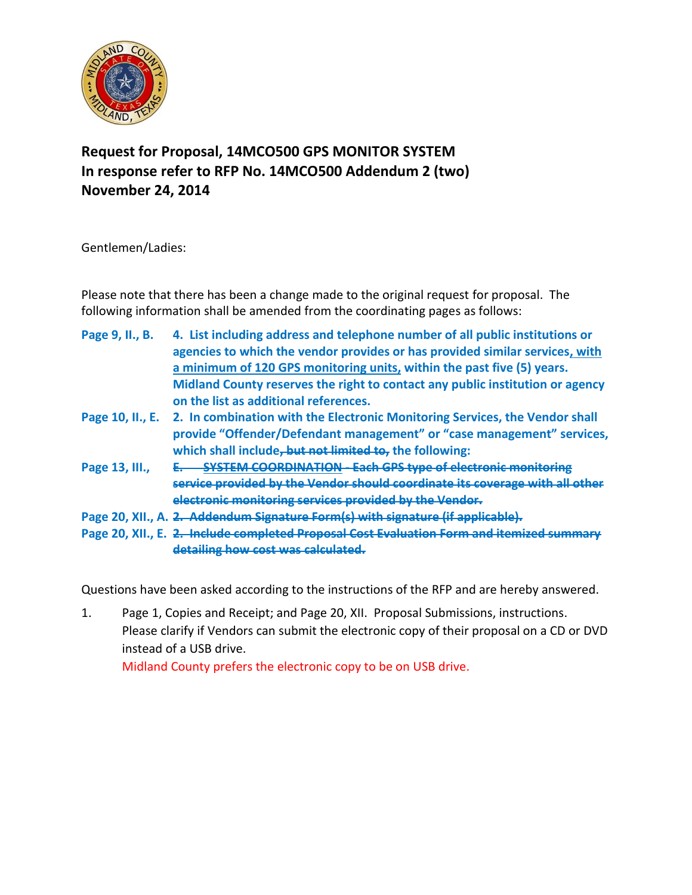

## **Request for Proposal, 14MCO500 GPS MONITOR SYSTEM In response refer to RFP No. 14MCO500 Addendum 2 (two) November 24, 2014**

Gentlemen/Ladies:

Please note that there has been a change made to the original request for proposal. The following information shall be amended from the coordinating pages as follows:

- **Page 9, II., B. 4. List including address and telephone number of all public institutions or agencies to which the vendor provides or has provided similar services, with a minimum of 120 GPS monitoring units, within the past five (5) years. Midland County reserves the right to contact any public institution or agency on the list as additional references.**
- **Page 10, II., E. 2. In combination with the Electronic Monitoring Services, the Vendor shall provide "Offender/Defendant management" or "case management" services, which shall include, but not limited to, the following:**
- **Page 13, III., E. SYSTEM COORDINATION - Each GPS type of electronic monitoring service provided by the Vendor should coordinate its coverage with all other electronic monitoring services provided by the Vendor.**
- **Page 20, XII., A. 2. Addendum Signature Form(s) with signature (if applicable).**
- **Page 20, XII., E. 2. Include completed Proposal Cost Evaluation Form and itemized summary detailing how cost was calculated.**

Questions have been asked according to the instructions of the RFP and are hereby answered.

1. Page 1, Copies and Receipt; and Page 20, XII. Proposal Submissions, instructions. Please clarify if Vendors can submit the electronic copy of their proposal on a CD or DVD instead of a USB drive. Midland County prefers the electronic copy to be on USB drive.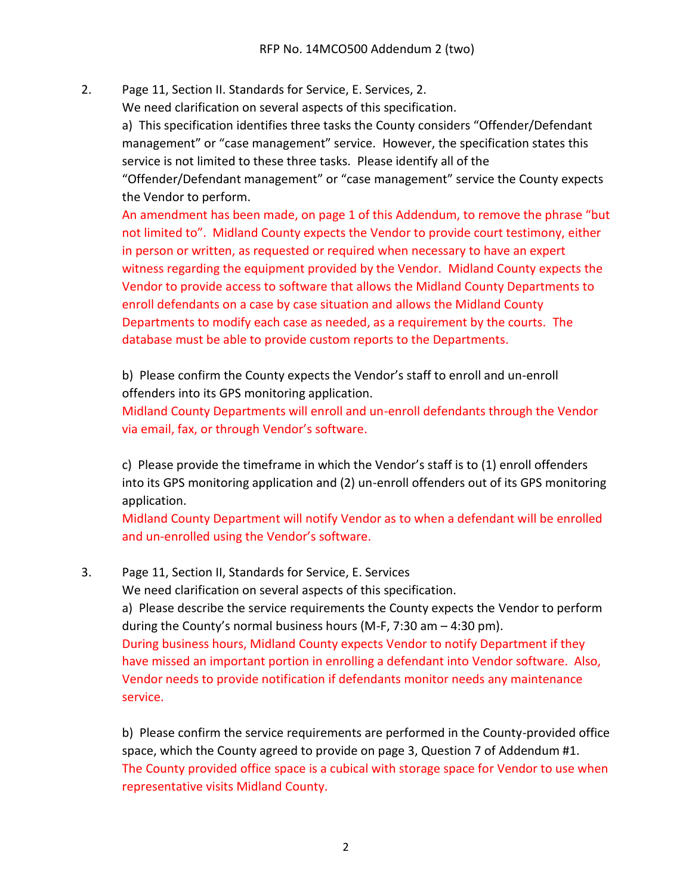2. Page 11, Section II. Standards for Service, E. Services, 2.

We need clarification on several aspects of this specification.

a) This specification identifies three tasks the County considers "Offender/Defendant management" or "case management" service. However, the specification states this service is not limited to these three tasks. Please identify all of the

"Offender/Defendant management" or "case management" service the County expects the Vendor to perform.

An amendment has been made, on page 1 of this Addendum, to remove the phrase "but not limited to". Midland County expects the Vendor to provide court testimony, either in person or written, as requested or required when necessary to have an expert witness regarding the equipment provided by the Vendor. Midland County expects the Vendor to provide access to software that allows the Midland County Departments to enroll defendants on a case by case situation and allows the Midland County Departments to modify each case as needed, as a requirement by the courts. The database must be able to provide custom reports to the Departments.

b) Please confirm the County expects the Vendor's staff to enroll and un-enroll offenders into its GPS monitoring application.

Midland County Departments will enroll and un-enroll defendants through the Vendor via email, fax, or through Vendor's software.

c) Please provide the timeframe in which the Vendor's staff is to (1) enroll offenders into its GPS monitoring application and (2) un-enroll offenders out of its GPS monitoring application.

Midland County Department will notify Vendor as to when a defendant will be enrolled and un-enrolled using the Vendor's software.

3. Page 11, Section II, Standards for Service, E. Services

We need clarification on several aspects of this specification.

a) Please describe the service requirements the County expects the Vendor to perform during the County's normal business hours (M-F, 7:30 am – 4:30 pm). During business hours, Midland County expects Vendor to notify Department if they have missed an important portion in enrolling a defendant into Vendor software. Also, Vendor needs to provide notification if defendants monitor needs any maintenance service.

b) Please confirm the service requirements are performed in the County-provided office space, which the County agreed to provide on page 3, Question 7 of Addendum #1. The County provided office space is a cubical with storage space for Vendor to use when representative visits Midland County.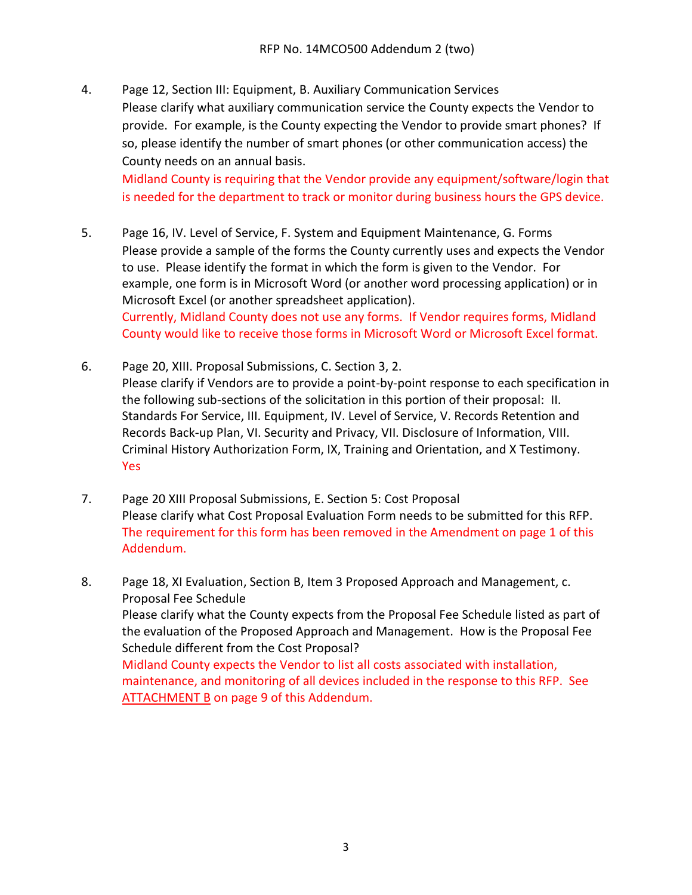4. Page 12, Section III: Equipment, B. Auxiliary Communication Services Please clarify what auxiliary communication service the County expects the Vendor to provide. For example, is the County expecting the Vendor to provide smart phones? If so, please identify the number of smart phones (or other communication access) the County needs on an annual basis.

Midland County is requiring that the Vendor provide any equipment/software/login that is needed for the department to track or monitor during business hours the GPS device.

- 5. Page 16, IV. Level of Service, F. System and Equipment Maintenance, G. Forms Please provide a sample of the forms the County currently uses and expects the Vendor to use. Please identify the format in which the form is given to the Vendor. For example, one form is in Microsoft Word (or another word processing application) or in Microsoft Excel (or another spreadsheet application). Currently, Midland County does not use any forms. If Vendor requires forms, Midland County would like to receive those forms in Microsoft Word or Microsoft Excel format.
- 6. Page 20, XIII. Proposal Submissions, C. Section 3, 2. Please clarify if Vendors are to provide a point-by-point response to each specification in the following sub-sections of the solicitation in this portion of their proposal: II. Standards For Service, III. Equipment, IV. Level of Service, V. Records Retention and Records Back-up Plan, VI. Security and Privacy, VII. Disclosure of Information, VIII. Criminal History Authorization Form, IX, Training and Orientation, and X Testimony. Yes
- 7. Page 20 XIII Proposal Submissions, E. Section 5: Cost Proposal Please clarify what Cost Proposal Evaluation Form needs to be submitted for this RFP. The requirement for this form has been removed in the Amendment on page 1 of this Addendum.
- 8. Page 18, XI Evaluation, Section B, Item 3 Proposed Approach and Management, c. Proposal Fee Schedule Please clarify what the County expects from the Proposal Fee Schedule listed as part of the evaluation of the Proposed Approach and Management. How is the Proposal Fee Schedule different from the Cost Proposal? Midland County expects the Vendor to list all costs associated with installation, maintenance, and monitoring of all devices included in the response to this RFP. See ATTACHMENT B on page 9 of this Addendum.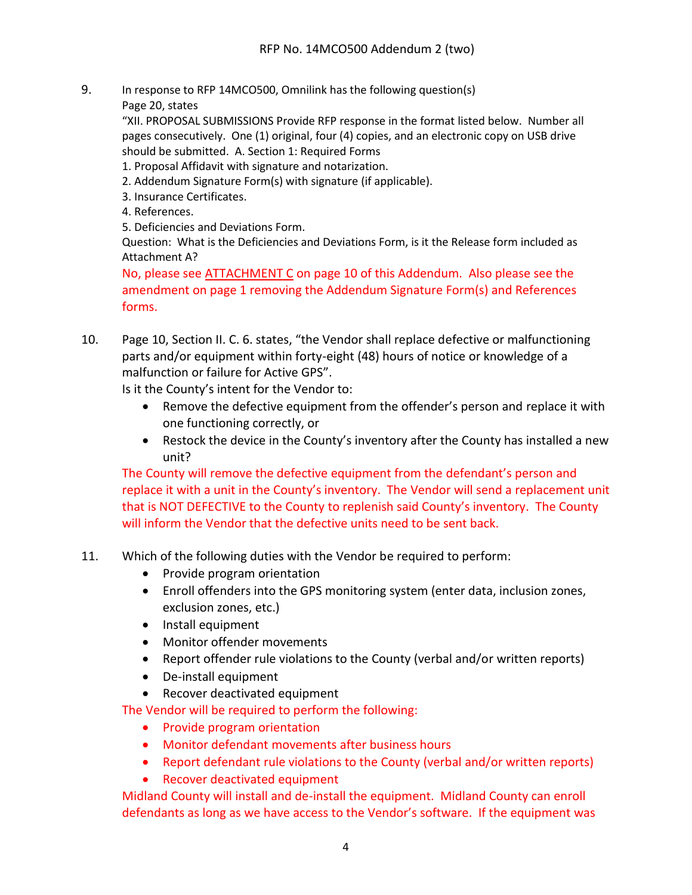- 9. In response to RFP 14MCO500, Omnilink has the following question(s)
	- Page 20, states

"XII. PROPOSAL SUBMISSIONS Provide RFP response in the format listed below. Number all pages consecutively. One (1) original, four (4) copies, and an electronic copy on USB drive should be submitted. A. Section 1: Required Forms

- 1. Proposal Affidavit with signature and notarization.
- 2. Addendum Signature Form(s) with signature (if applicable).
- 3. Insurance Certificates.
- 4. References.

5. Deficiencies and Deviations Form.

Question: What is the Deficiencies and Deviations Form, is it the Release form included as Attachment A?

No, please see ATTACHMENT C on page 10 of this Addendum. Also please see the amendment on page 1 removing the Addendum Signature Form(s) and References forms.

10. Page 10, Section II. C. 6. states, "the Vendor shall replace defective or malfunctioning parts and/or equipment within forty-eight (48) hours of notice or knowledge of a malfunction or failure for Active GPS".

Is it the County's intent for the Vendor to:

- Remove the defective equipment from the offender's person and replace it with one functioning correctly, or
- Restock the device in the County's inventory after the County has installed a new unit?

The County will remove the defective equipment from the defendant's person and replace it with a unit in the County's inventory. The Vendor will send a replacement unit that is NOT DEFECTIVE to the County to replenish said County's inventory. The County will inform the Vendor that the defective units need to be sent back.

- 11. Which of the following duties with the Vendor be required to perform:
	- Provide program orientation
	- Enroll offenders into the GPS monitoring system (enter data, inclusion zones, exclusion zones, etc.)
	- Install equipment
	- Monitor offender movements
	- Report offender rule violations to the County (verbal and/or written reports)
	- De-install equipment
	- Recover deactivated equipment

The Vendor will be required to perform the following:

- Provide program orientation
- Monitor defendant movements after business hours
- Report defendant rule violations to the County (verbal and/or written reports)
- Recover deactivated equipment

Midland County will install and de-install the equipment. Midland County can enroll defendants as long as we have access to the Vendor's software. If the equipment was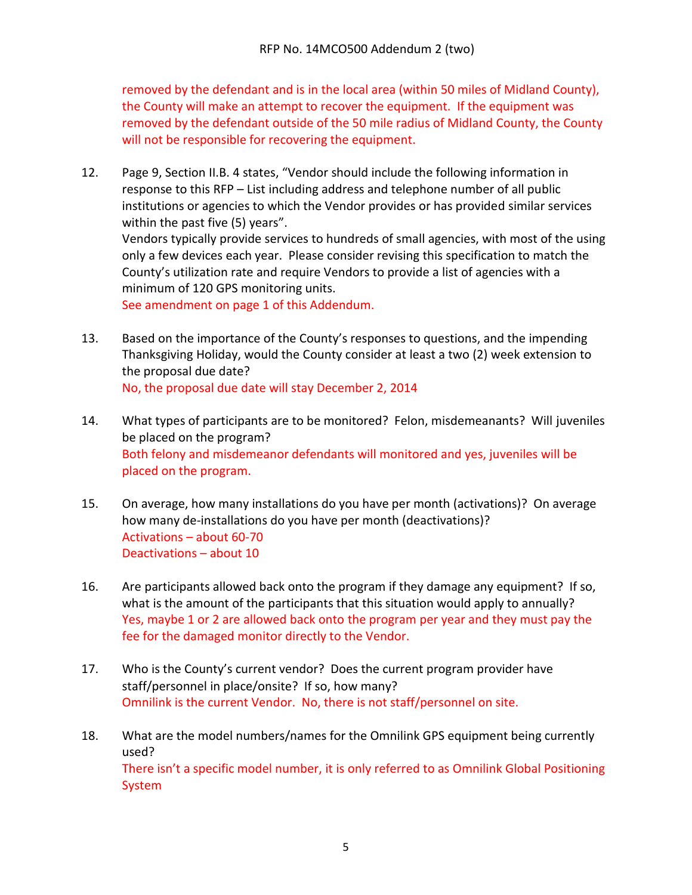removed by the defendant and is in the local area (within 50 miles of Midland County), the County will make an attempt to recover the equipment. If the equipment was removed by the defendant outside of the 50 mile radius of Midland County, the County will not be responsible for recovering the equipment.

- 12. Page 9, Section II.B. 4 states, "Vendor should include the following information in response to this RFP – List including address and telephone number of all public institutions or agencies to which the Vendor provides or has provided similar services within the past five (5) years". Vendors typically provide services to hundreds of small agencies, with most of the using only a few devices each year. Please consider revising this specification to match the County's utilization rate and require Vendors to provide a list of agencies with a minimum of 120 GPS monitoring units. See amendment on page 1 of this Addendum.
- 13. Based on the importance of the County's responses to questions, and the impending Thanksgiving Holiday, would the County consider at least a two (2) week extension to the proposal due date? No, the proposal due date will stay December 2, 2014
- 14. What types of participants are to be monitored? Felon, misdemeanants? Will juveniles be placed on the program? Both felony and misdemeanor defendants will monitored and yes, juveniles will be placed on the program.
- 15. On average, how many installations do you have per month (activations)? On average how many de-installations do you have per month (deactivations)? Activations – about 60-70 Deactivations – about 10
- 16. Are participants allowed back onto the program if they damage any equipment? If so, what is the amount of the participants that this situation would apply to annually? Yes, maybe 1 or 2 are allowed back onto the program per year and they must pay the fee for the damaged monitor directly to the Vendor.
- 17. Who is the County's current vendor? Does the current program provider have staff/personnel in place/onsite? If so, how many? Omnilink is the current Vendor. No, there is not staff/personnel on site.
- 18. What are the model numbers/names for the Omnilink GPS equipment being currently used? There isn't a specific model number, it is only referred to as Omnilink Global Positioning System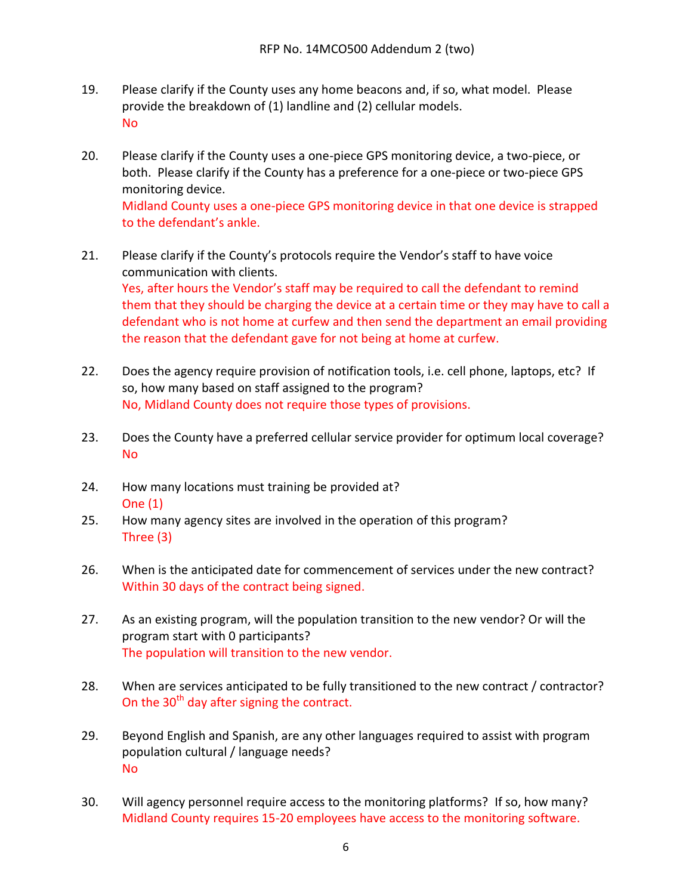- 19. Please clarify if the County uses any home beacons and, if so, what model. Please provide the breakdown of (1) landline and (2) cellular models. No
- 20. Please clarify if the County uses a one-piece GPS monitoring device, a two-piece, or both. Please clarify if the County has a preference for a one-piece or two-piece GPS monitoring device. Midland County uses a one-piece GPS monitoring device in that one device is strapped to the defendant's ankle.
- 21. Please clarify if the County's protocols require the Vendor's staff to have voice communication with clients. Yes, after hours the Vendor's staff may be required to call the defendant to remind them that they should be charging the device at a certain time or they may have to call a defendant who is not home at curfew and then send the department an email providing the reason that the defendant gave for not being at home at curfew.
- 22. Does the agency require provision of notification tools, i.e. cell phone, laptops, etc? If so, how many based on staff assigned to the program? No, Midland County does not require those types of provisions.
- 23. Does the County have a preferred cellular service provider for optimum local coverage? No
- 24. How many locations must training be provided at? One (1)
- 25. How many agency sites are involved in the operation of this program? Three (3)
- 26. When is the anticipated date for commencement of services under the new contract? Within 30 days of the contract being signed.
- 27. As an existing program, will the population transition to the new vendor? Or will the program start with 0 participants? The population will transition to the new vendor.
- 28. When are services anticipated to be fully transitioned to the new contract / contractor? On the  $30<sup>th</sup>$  day after signing the contract.
- 29. Beyond English and Spanish, are any other languages required to assist with program population cultural / language needs? No
- 30. Will agency personnel require access to the monitoring platforms? If so, how many? Midland County requires 15-20 employees have access to the monitoring software.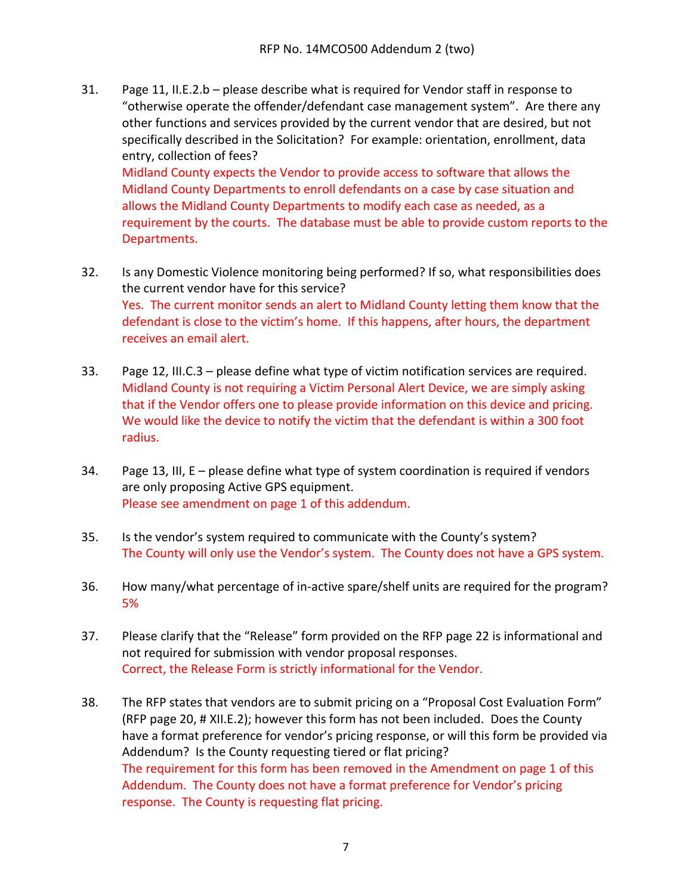31. Page 11, II.E.2.b – please describe what is required for Vendor staff in response to "otherwise operate the offender/defendant case management system". Are there any other functions and services provided by the current vendor that are desired, but not specifically described in the Solicitation? For example: orientation, enrollment, data entry, collection of fees? Midland County expects the Vendor to provide access to software that allows the

Midland County Departments to enroll defendants on a case by case situation and allows the Midland County Departments to modify each case as needed, as a requirement by the courts. The database must be able to provide custom reports to the Departments.

- 32. Is any Domestic Violence monitoring being performed? If so, what responsibilities does the current vendor have for this service? Yes. The current monitor sends an alert to Midland County letting them know that the defendant is close to the victim's home. If this happens, after hours, the department receives an email alert.
- 33. Page 12, III.C.3 please define what type of victim notification services are required. Midland County is not requiring a Victim Personal Alert Device, we are simply asking that if the Vendor offers one to please provide information on this device and pricing. We would like the device to notify the victim that the defendant is within a 300 foot radius.
- 34. Page 13, III, E please define what type of system coordination is required if vendors are only proposing Active GPS equipment. Please see amendment on page 1 of this addendum.
- 35. Is the vendor's system required to communicate with the County's system? The County will only use the Vendor's system. The County does not have a GPS system.
- 36. How many/what percentage of in-active spare/shelf units are required for the program? 5%
- 37. Please clarify that the "Release" form provided on the RFP page 22 is informational and not required for submission with vendor proposal responses. Correct, the Release Form is strictly informational for the Vendor.
- 38. The RFP states that vendors are to submit pricing on a "Proposal Cost Evaluation Form" (RFP page 20, # XII.E.2); however this form has not been included. Does the County have a format preference for vendor's pricing response, or will this form be provided via Addendum? Is the County requesting tiered or flat pricing? The requirement for this form has been removed in the Amendment on page 1 of this Addendum. The County does not have a format preference for Vendor's pricing response. The County is requesting flat pricing.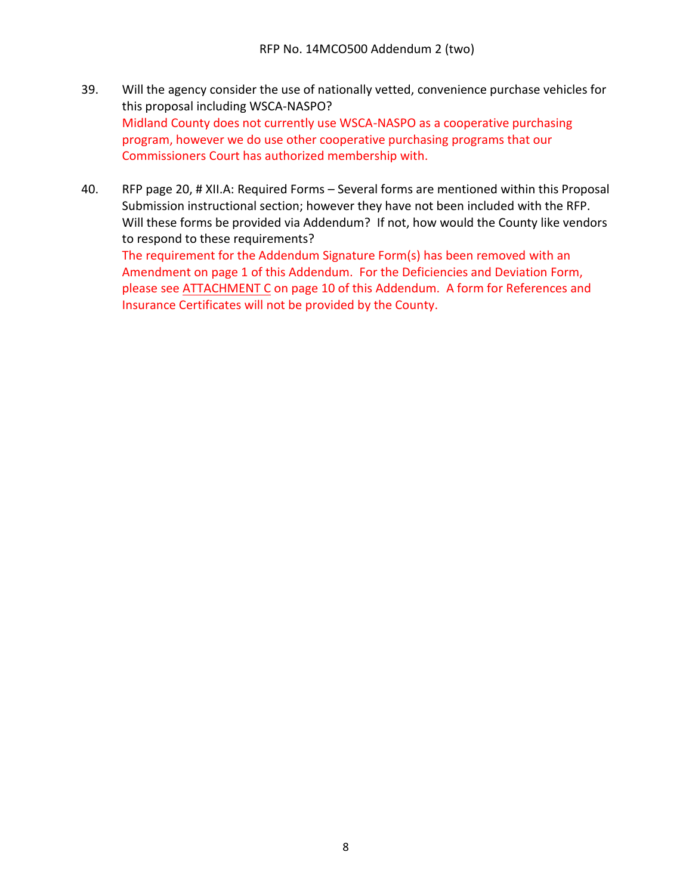- 39. Will the agency consider the use of nationally vetted, convenience purchase vehicles for this proposal including WSCA-NASPO? Midland County does not currently use WSCA-NASPO as a cooperative purchasing program, however we do use other cooperative purchasing programs that our Commissioners Court has authorized membership with.
- 40. RFP page 20, # XII.A: Required Forms Several forms are mentioned within this Proposal Submission instructional section; however they have not been included with the RFP. Will these forms be provided via Addendum? If not, how would the County like vendors to respond to these requirements?

The requirement for the Addendum Signature Form(s) has been removed with an Amendment on page 1 of this Addendum. For the Deficiencies and Deviation Form, please see ATTACHMENT C on page 10 of this Addendum. A form for References and Insurance Certificates will not be provided by the County.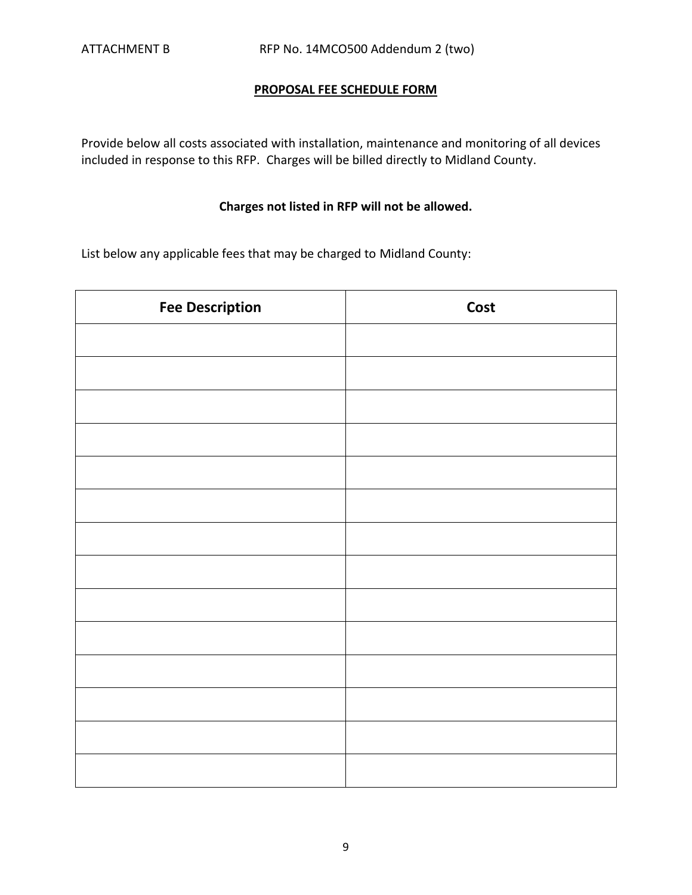## **PROPOSAL FEE SCHEDULE FORM**

Provide below all costs associated with installation, maintenance and monitoring of all devices included in response to this RFP. Charges will be billed directly to Midland County.

## **Charges not listed in RFP will not be allowed.**

List below any applicable fees that may be charged to Midland County:

| <b>Fee Description</b> | Cost |
|------------------------|------|
|                        |      |
|                        |      |
|                        |      |
|                        |      |
|                        |      |
|                        |      |
|                        |      |
|                        |      |
|                        |      |
|                        |      |
|                        |      |
|                        |      |
|                        |      |
|                        |      |